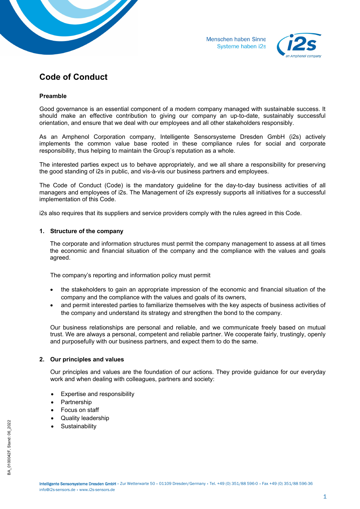



# **Code of Conduct**

# **Preamble**

Good governance is an essential component of a modern company managed with sustainable success. It should make an effective contribution to giving our company an up-to-date, sustainably successful orientation, and ensure that we deal with our employees and all other stakeholders responsibly.

As an Amphenol Corporation company, Intelligente Sensorsysteme Dresden GmbH (i2s) actively implements the common value base rooted in these compliance rules for social and corporate responsibility, thus helping to maintain the Group's reputation as a whole.

The interested parties expect us to behave appropriately, and we all share a responsibility for preserving the good standing of i2s in public, and vis-à-vis our business partners and employees.

The Code of Conduct (Code) is the mandatory guideline for the day-to-day business activities of all managers and employees of i2s. The Management of i2s expressly supports all initiatives for a successful implementation of this Code.

i2s also requires that its suppliers and service providers comply with the rules agreed in this Code.

# **1. Structure of the company**

The corporate and information structures must permit the company management to assess at all times the economic and financial situation of the company and the compliance with the values and goals agreed.

The company's reporting and information policy must permit

- the stakeholders to gain an appropriate impression of the economic and financial situation of the company and the compliance with the values and goals of its owners,
- and permit interested parties to familiarize themselves with the key aspects of business activities of the company and understand its strategy and strengthen the bond to the company.

Our business relationships are personal and reliable, and we communicate freely based on mutual trust. We are always a personal, competent and reliable partner. We cooperate fairly, trustingly, openly and purposefully with our business partners, and expect them to do the same.

# **2. Our principles and values**

Our principles and values are the foundation of our actions. They provide guidance for our everyday work and when dealing with colleagues, partners and society:

- Expertise and responsibility
- Partnership
- Focus on staff
- Quality leadership
- **Sustainability**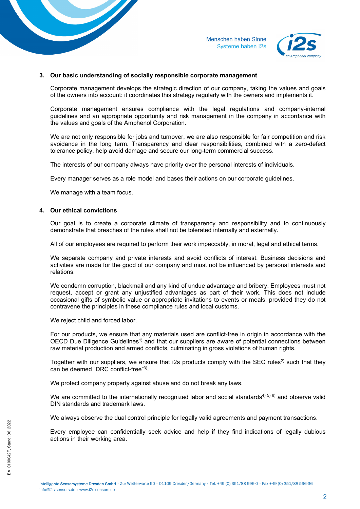



#### **3. Our basic understanding of socially responsible corporate management**

Corporate management develops the strategic direction of our company, taking the values and goals of the owners into account: it coordinates this strategy regularly with the owners and implements it.

Corporate management ensures compliance with the legal regulations and company-internal guidelines and an appropriate opportunity and risk management in the company in accordance with the values and goals of the Amphenol Corporation.

We are not only responsible for jobs and turnover, we are also responsible for fair competition and risk avoidance in the long term. Transparency and clear responsibilities, combined with a zero-defect tolerance policy, help avoid damage and secure our long-term commercial success.

The interests of our company always have priority over the personal interests of individuals.

Every manager serves as a role model and bases their actions on our corporate guidelines.

We manage with a team focus.

### **4. Our ethical convictions**

Our goal is to create a corporate climate of transparency and responsibility and to continuously demonstrate that breaches of the rules shall not be tolerated internally and externally.

All of our employees are required to perform their work impeccably, in moral, legal and ethical terms.

We separate company and private interests and avoid conflicts of interest. Business decisions and activities are made for the good of our company and must not be influenced by personal interests and relations.

We condemn corruption, blackmail and any kind of undue advantage and bribery. Employees must not request, accept or grant any unjustified advantages as part of their work. This does not include occasional gifts of symbolic value or appropriate invitations to events or meals, provided they do not contravene the principles in these compliance rules and local customs.

We reject child and forced labor.

For our products, we ensure that any materials used are conflict-free in origin in accordance with the OECD Due Diligence Guidelines<sup>1)</sup> and that our suppliers are aware of potential connections between raw material production and armed conflicts, culminating in gross violations of human rights.

Together with our suppliers, we ensure that  $i2s$  products comply with the SEC rules<sup>2)</sup> such that they can be deemed "DRC conflict-free"3).

We protect company property against abuse and do not break any laws.

We are committed to the internationally recognized labor and social standards<sup>4) 5)</sup> 6) and observe valid DIN standards and trademark laws.

We always observe the dual control principle for legally valid agreements and payment transactions.

Every employee can confidentially seek advice and help if they find indications of legally dubious actions in their working area.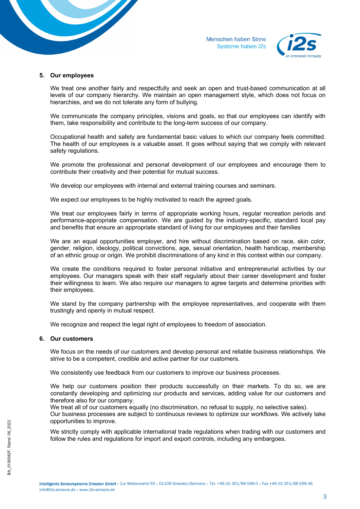



#### **5. Our employees**

We treat one another fairly and respectfully and seek an open and trust-based communication at all levels of our company hierarchy. We maintain an open management style, which does not focus on hierarchies, and we do not tolerate any form of bullying.

We communicate the company principles, visions and goals, so that our employees can identify with them, take responsibility and contribute to the long-term success of our company.

Occupational health and safety are fundamental basic values to which our company feels committed. The health of our employees is a valuable asset. It goes without saying that we comply with relevant safety regulations.

We promote the professional and personal development of our employees and encourage them to contribute their creativity and their potential for mutual success.

We develop our employees with internal and external training courses and seminars.

We expect our employees to be highly motivated to reach the agreed goals.

We treat our employees fairly in terms of appropriate working hours, regular recreation periods and performance-appropriate compensation. We are guided by the industry-specific, standard local pay and benefits that ensure an appropriate standard of living for our employees and their families

We are an equal opportunities employer, and hire without discrimination based on race, skin color, gender, religion, ideology, political convictions, age, sexual orientation, health handicap, membership of an ethnic group or origin. We prohibit discriminations of any kind in this context within our company.

We create the conditions required to foster personal initiative and entrepreneurial activities by our employees. Our managers speak with their staff regularly about their career development and foster their willingness to learn. We also require our managers to agree targets and determine priorities with their employees.

We stand by the company partnership with the employee representatives, and cooperate with them trustingly and openly in mutual respect.

We recognize and respect the legal right of employees to freedom of association.

#### **6. Our customers**

We focus on the needs of our customers and develop personal and reliable business relationships. We strive to be a competent, credible and active partner for our customers.

We consistently use feedback from our customers to improve our business processes.

We help our customers position their products successfully on their markets. To do so, we are constantly developing and optimizing our products and services, adding value for our customers and therefore also for our company.

We treat all of our customers equally (no discrimination, no refusal to supply, no selective sales).

Our business processes are subject to continuous reviews to optimize our workflows. We actively take opportunities to improve.

We strictly comply with applicable international trade regulations when trading with our customers and follow the rules and regulations for import and export controls, including any embargoes.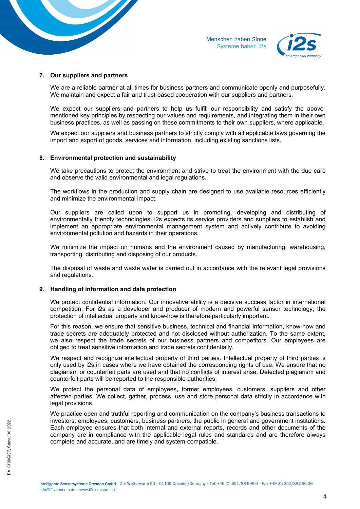



## **7. Our suppliers and partners**

We are a reliable partner at all times for business partners and communicate openly and purposefully. We maintain and expect a fair and trust-based cooperation with our suppliers and partners.

We expect our suppliers and partners to help us fulfill our responsibility and satisfy the abovementioned key principles by respecting our values and requirements, and integrating them in their own business practices, as well as passing on these commitments to their own suppliers, where applicable.

We expect our suppliers and business partners to strictly comply with all applicable laws governing the import and export of goods, services and information. including existing sanctions lists.

#### **8. Environmental protection and sustainability**

We take precautions to protect the environment and strive to treat the environment with the due care and observe the valid environmental and legal regulations.

The workflows in the production and supply chain are designed to use available resources efficiently and minimize the environmental impact.

Our suppliers are called upon to support us in promoting, developing and distributing of environmentally friendly technologies. i2s expects its service providers and suppliers to establish and implement an appropriate environmental management system and actively contribute to avoiding environmental pollution and hazards in their operations.

We minimize the impact on humans and the environment caused by manufacturing, warehousing, transporting, distributing and disposing of our products.

The disposal of waste and waste water is carried out in accordance with the relevant legal provisions and regulations.

## **9. Handling of information and data protection**

We protect confidential information. Our innovative ability is a decisive success factor in international competition. For i2s as a developer and producer of modern and powerful sensor technology, the protection of intellectual property and know-how is therefore particularly important.

For this reason, we ensure that sensitive business, technical and financial information, know-how and trade secrets are adequately protected and not disclosed without authorization. To the same extent, we also respect the trade secrets of our business partners and competitors. Our employees are obliged to treat sensitive information and trade secrets confidentially.

We respect and recognize intellectual property of third parties. Intellectual property of third parties is only used by i2s in cases where we have obtained the corresponding rights of use. We ensure that no plagiarism or counterfeit parts are used and that no conflicts of interest arise. Detected plagiarism and counterfeit parts will be reported to the responsible authorities.

We protect the personal data of employees, former employees, customers, suppliers and other affected parties. We collect, gather, process, use and store personal data strictly in accordance with legal provisions.

We practice open and truthful reporting and communication on the company's business transactions to investors, employees, customers, business partners, the public in general and government institutions. Each employee ensures that both internal and external reports, records and other documents of the company are in compliance with the applicable legal rules and standards and are therefore always complete and accurate, and are timely and system-compatible.